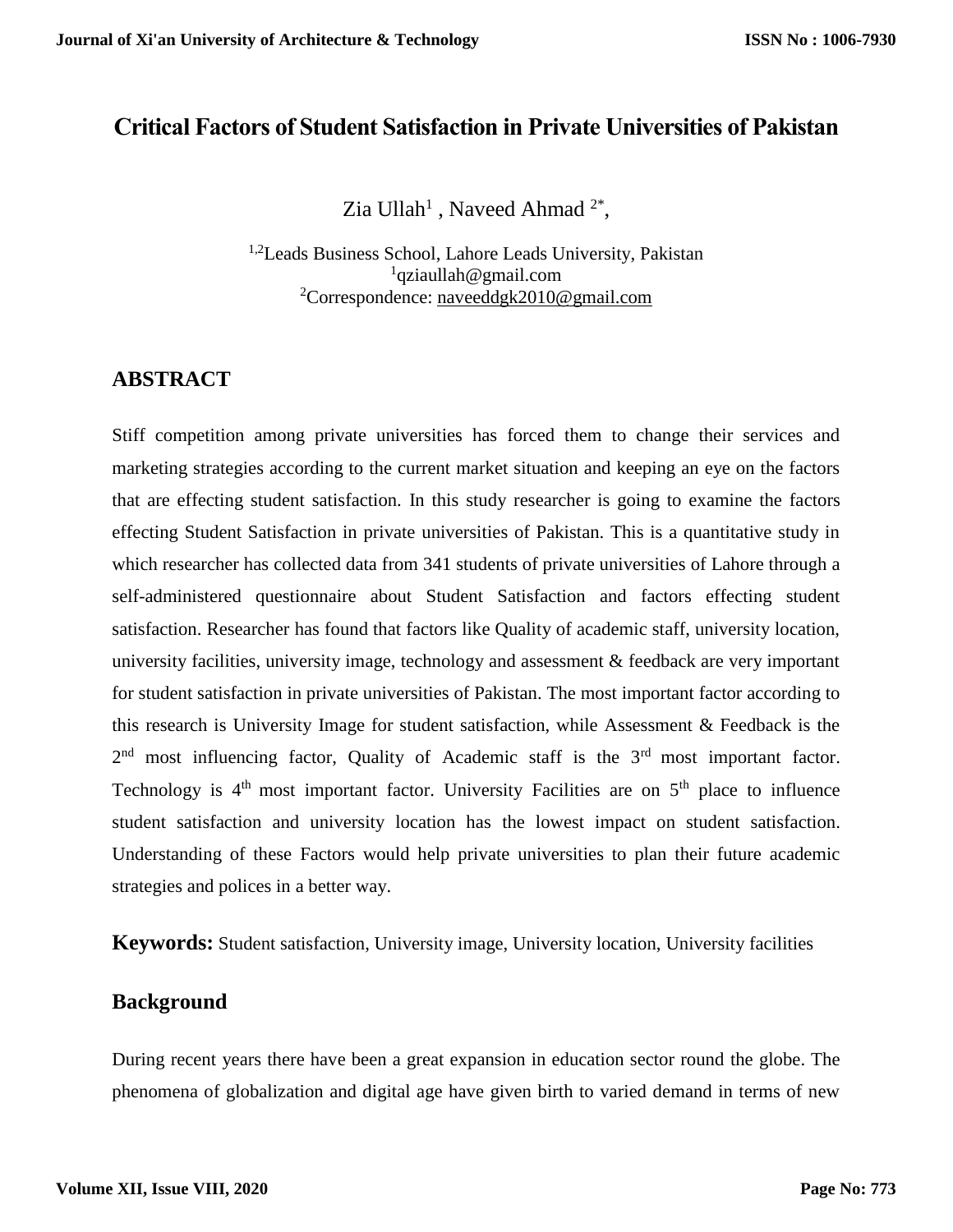# **Critical Factors of Student Satisfaction in Private Universities of Pakistan**

Zia Ullah<sup>1</sup>, Naveed Ahmad<sup>2\*</sup>,

<sup>1,2</sup>Leads Business School, Lahore Leads University, Pakistan <sup>1</sup>qziaullah@gmail.com <sup>2</sup>Correspondence: [naveeddgk2010@gmail.com](mailto:naveeddgk2010@gmail.com)

# **ABSTRACT**

Stiff competition among private universities has forced them to change their services and marketing strategies according to the current market situation and keeping an eye on the factors that are effecting student satisfaction. In this study researcher is going to examine the factors effecting Student Satisfaction in private universities of Pakistan. This is a quantitative study in which researcher has collected data from 341 students of private universities of Lahore through a self-administered questionnaire about Student Satisfaction and factors effecting student satisfaction. Researcher has found that factors like Quality of academic staff, university location, university facilities, university image, technology and assessment & feedback are very important for student satisfaction in private universities of Pakistan. The most important factor according to this research is University Image for student satisfaction, while Assessment & Feedback is the  $2<sup>nd</sup>$  most influencing factor, Quality of Academic staff is the  $3<sup>rd</sup>$  most important factor. Technology is  $4<sup>th</sup>$  most important factor. University Facilities are on  $5<sup>th</sup>$  place to influence student satisfaction and university location has the lowest impact on student satisfaction. Understanding of these Factors would help private universities to plan their future academic strategies and polices in a better way.

**Keywords:** Student satisfaction, University image, University location, University facilities

## **Background**

During recent years there have been a great expansion in education sector round the globe. The phenomena of globalization and digital age have given birth to varied demand in terms of new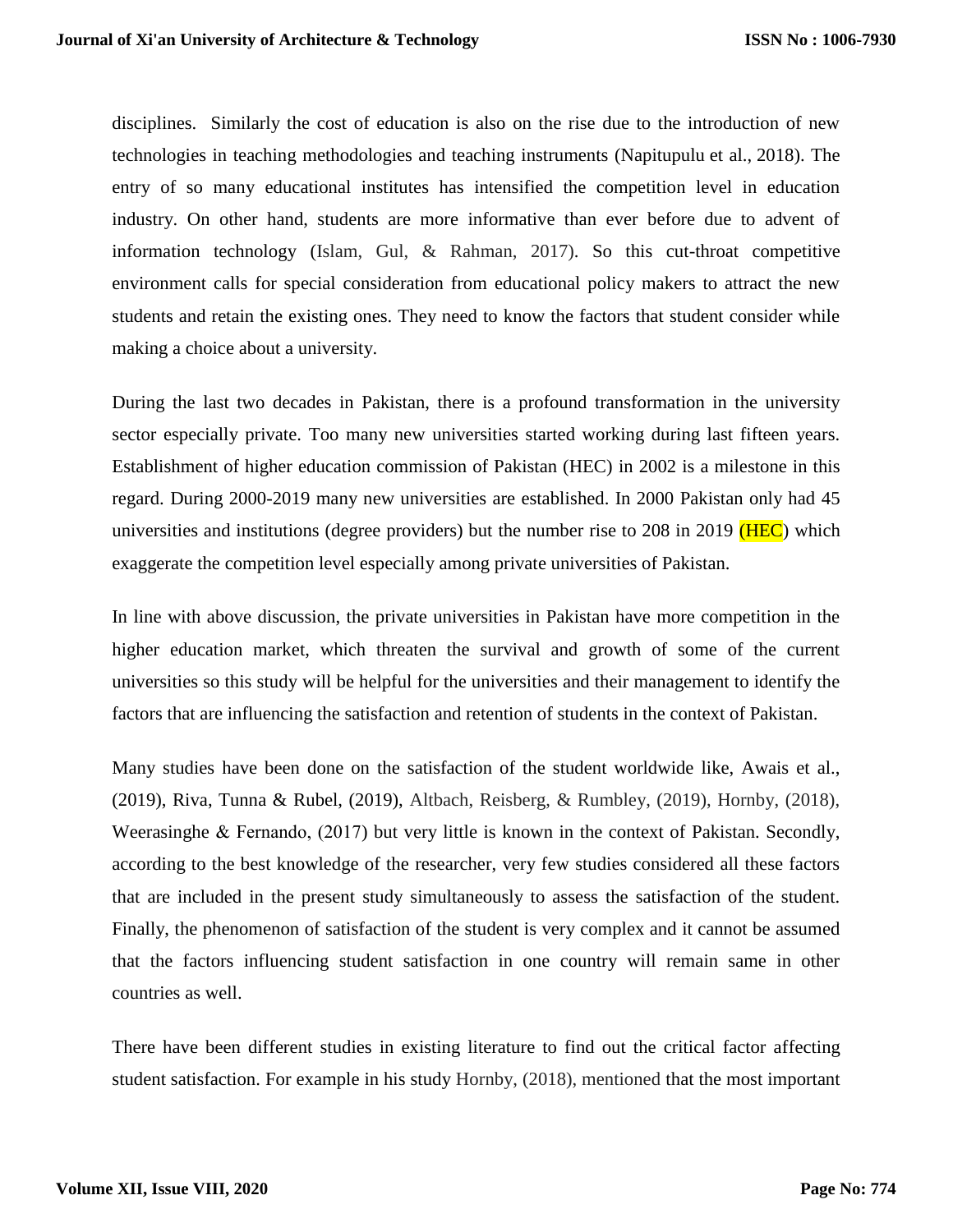disciplines. Similarly the cost of education is also on the rise due to the introduction of new technologies in teaching methodologies and teaching instruments (Napitupulu et al., 2018). The entry of so many educational institutes has intensified the competition level in education industry. On other hand, students are more informative than ever before due to advent of information technology (Islam, Gul, & Rahman, 2017). So this cut-throat competitive environment calls for special consideration from educational policy makers to attract the new students and retain the existing ones. They need to know the factors that student consider while making a choice about a university.

During the last two decades in Pakistan, there is a profound transformation in the university sector especially private. Too many new universities started working during last fifteen years. Establishment of higher education commission of Pakistan (HEC) in 2002 is a milestone in this regard. During 2000-2019 many new universities are established. In 2000 Pakistan only had 45 universities and institutions (degree providers) but the number rise to 208 in 2019 ( $HEC$ ) which exaggerate the competition level especially among private universities of Pakistan.

In line with above discussion, the private universities in Pakistan have more competition in the higher education market, which threaten the survival and growth of some of the current universities so this study will be helpful for the universities and their management to identify the factors that are influencing the satisfaction and retention of students in the context of Pakistan.

Many studies have been done on the satisfaction of the student worldwide like, Awais et al., (2019), Riva, Tunna & Rubel, (2019), Altbach, Reisberg, & Rumbley, (2019), Hornby, (2018), Weerasinghe & Fernando, (2017) but very little is known in the context of Pakistan. Secondly, according to the best knowledge of the researcher, very few studies considered all these factors that are included in the present study simultaneously to assess the satisfaction of the student. Finally, the phenomenon of satisfaction of the student is very complex and it cannot be assumed that the factors influencing student satisfaction in one country will remain same in other countries as well.

There have been different studies in existing literature to find out the critical factor affecting student satisfaction. For example in his study Hornby, (2018), mentioned that the most important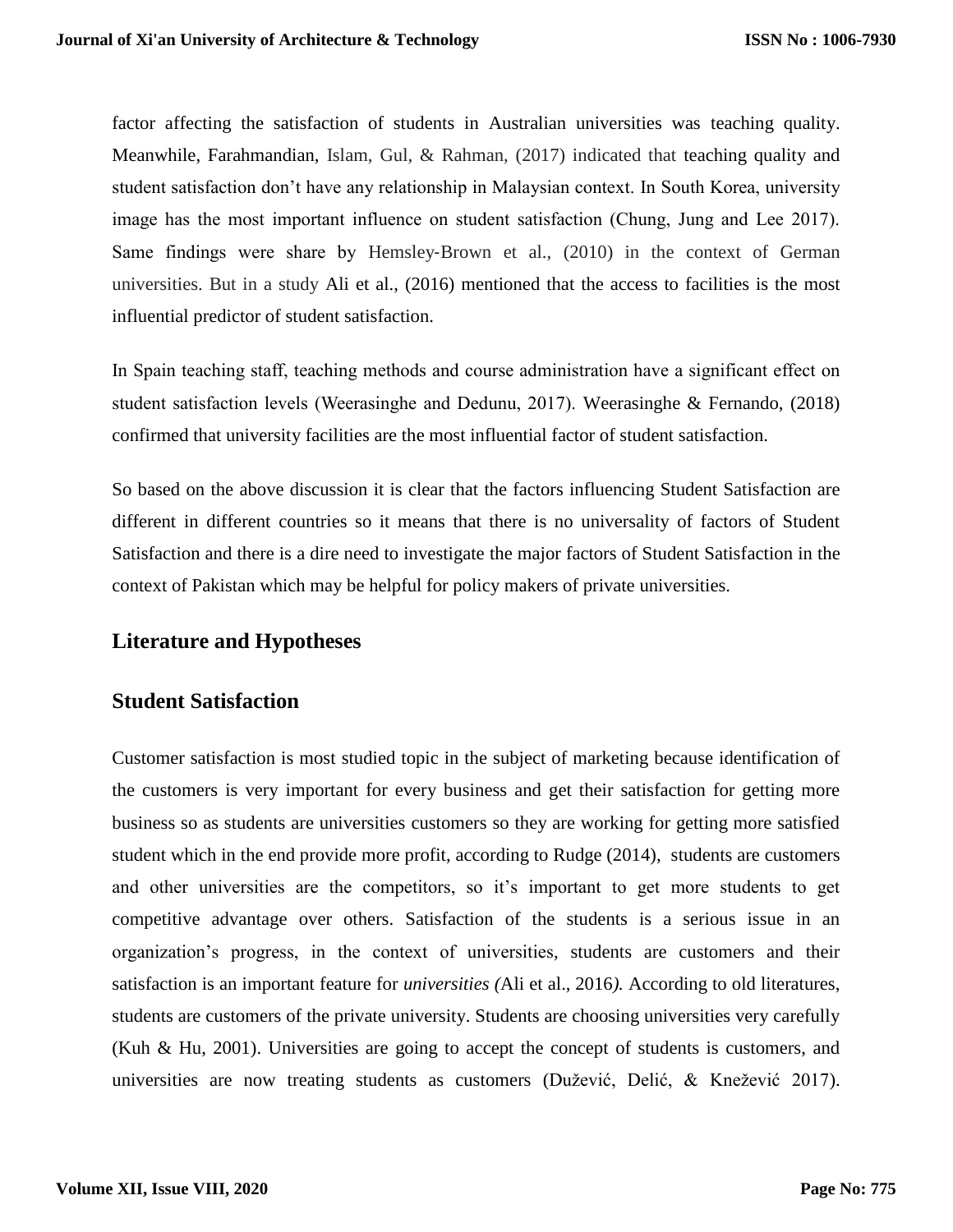factor affecting the satisfaction of students in Australian universities was teaching quality. Meanwhile, Farahmandian, Islam, Gul, & Rahman, (2017) indicated that teaching quality and student satisfaction don't have any relationship in Malaysian context. In South Korea, university image has the most important influence on student satisfaction (Chung, Jung and Lee 2017). Same findings were share by Hemsley‐Brown et al., (2010) in the context of German universities. But in a study Ali et al., (2016) mentioned that the access to facilities is the most influential predictor of student satisfaction.

In Spain teaching staff, teaching methods and course administration have a significant effect on student satisfaction levels (Weerasinghe and Dedunu, 2017). Weerasinghe & Fernando, (2018) confirmed that university facilities are the most influential factor of student satisfaction.

So based on the above discussion it is clear that the factors influencing Student Satisfaction are different in different countries so it means that there is no universality of factors of Student Satisfaction and there is a dire need to investigate the major factors of Student Satisfaction in the context of Pakistan which may be helpful for policy makers of private universities.

### **Literature and Hypotheses**

### **Student Satisfaction**

Customer satisfaction is most studied topic in the subject of marketing because identification of the customers is very important for every business and get their satisfaction for getting more business so as students are universities customers so they are working for getting more satisfied student which in the end provide more profit, according to Rudge (2014), students are customers and other universities are the competitors, so it's important to get more students to get competitive advantage over others. Satisfaction of the students is a serious issue in an organization's progress, in the context of universities, students are customers and their satisfaction is an important feature for *universities (*Ali et al., 2016*).* According to old literatures, students are customers of the private university. Students are choosing universities very carefully (Kuh & Hu, 2001). Universities are going to accept the concept of students is customers, and universities are now treating students as customers (Dužević, Delić, & Knežević 2017).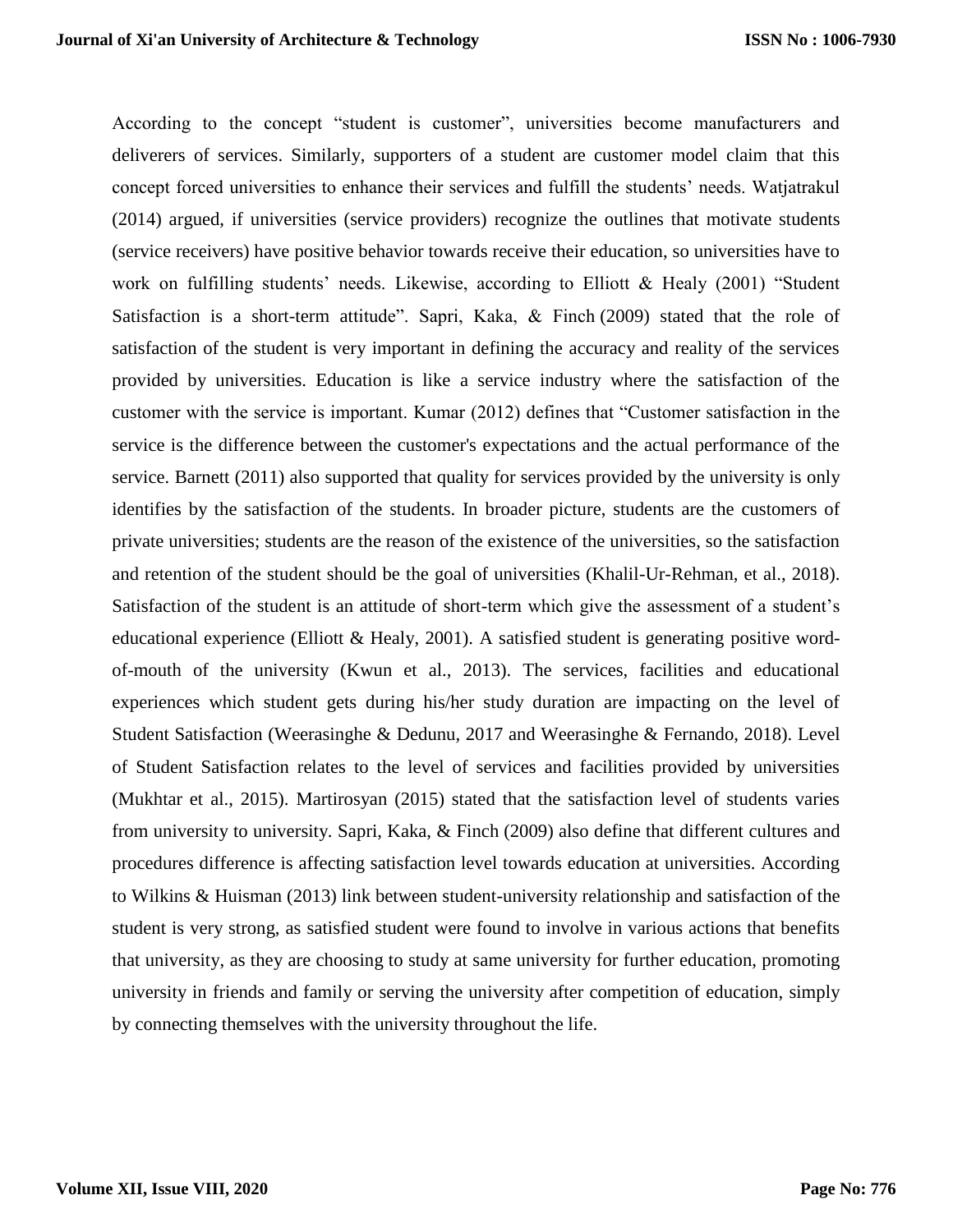According to the concept "student is customer", universities become manufacturers and deliverers of services. Similarly, supporters of a student are customer model claim that this concept forced universities to enhance their services and fulfill the students' needs. Watjatrakul (2014) argued, if universities (service providers) recognize the outlines that motivate students (service receivers) have positive behavior towards receive their education, so universities have to work on fulfilling students' needs. Likewise, according to Elliott & Healy (2001) "Student Satisfaction is a short-term attitude". Sapri, Kaka, & Finch (2009) stated that the role of satisfaction of the student is very important in defining the accuracy and reality of the services provided by universities. Education is like a service industry where the satisfaction of the customer with the service is important. Kumar (2012) defines that "Customer satisfaction in the service is the difference between the customer's expectations and the actual performance of the service. Barnett (2011) also supported that quality for services provided by the university is only identifies by the satisfaction of the students. In broader picture, students are the customers of private universities; students are the reason of the existence of the universities, so the satisfaction and retention of the student should be the goal of universities (Khalil-Ur-Rehman, et al., 2018). Satisfaction of the student is an attitude of short-term which give the assessment of a student's educational experience (Elliott & Healy, 2001). A satisfied student is generating positive wordof-mouth of the university (Kwun et al., 2013). The services, facilities and educational experiences which student gets during his/her study duration are impacting on the level of Student Satisfaction (Weerasinghe & Dedunu, 2017 and Weerasinghe & Fernando, 2018). Level of Student Satisfaction relates to the level of services and facilities provided by universities (Mukhtar et al., 2015). Martirosyan (2015) stated that the satisfaction level of students varies from university to university. Sapri, Kaka, & Finch (2009) also define that different cultures and procedures difference is affecting satisfaction level towards education at universities. According to Wilkins & Huisman (2013) link between student-university relationship and satisfaction of the student is very strong, as satisfied student were found to involve in various actions that benefits that university, as they are choosing to study at same university for further education, promoting university in friends and family or serving the university after competition of education, simply by connecting themselves with the university throughout the life.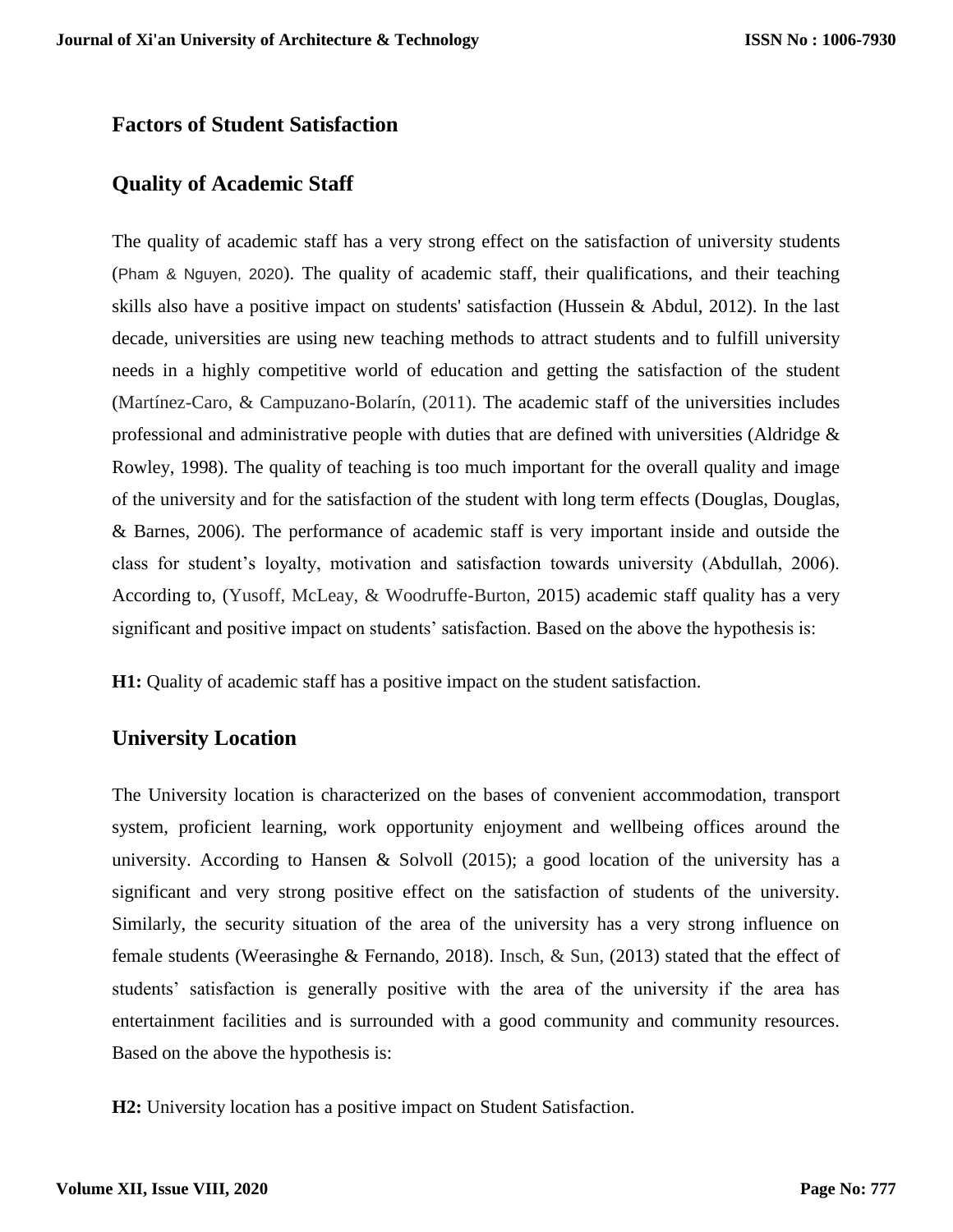### **Factors of Student Satisfaction**

### **Quality of Academic Staff**

The quality of academic staff has a very strong effect on the satisfaction of university students (Pham & Nguyen, 2020). The quality of academic staff, their qualifications, and their teaching skills also have a positive impact on students' satisfaction (Hussein & Abdul, 2012). In the last decade, universities are using new teaching methods to attract students and to fulfill university needs in a highly competitive world of education and getting the satisfaction of the student (Martínez-Caro, & Campuzano-Bolarín, (2011). The academic staff of the universities includes professional and administrative people with duties that are defined with universities (Aldridge  $\&$ Rowley, 1998). The quality of teaching is too much important for the overall quality and image of the university and for the satisfaction of the student with long term effects (Douglas, Douglas, & Barnes, 2006). The performance of academic staff is very important inside and outside the class for student's loyalty, motivation and satisfaction towards university (Abdullah, 2006). According to, (Yusoff, McLeay, & Woodruffe-Burton, 2015) academic staff quality has a very significant and positive impact on students' satisfaction. Based on the above the hypothesis is:

**H1:** Quality of academic staff has a positive impact on the student satisfaction.

### **University Location**

The University location is characterized on the bases of convenient accommodation, transport system, proficient learning, work opportunity enjoyment and wellbeing offices around the university. According to Hansen & Solvoll (2015); a good location of the university has a significant and very strong positive effect on the satisfaction of students of the university. Similarly, the security situation of the area of the university has a very strong influence on female students (Weerasinghe & Fernando, 2018). Insch, & Sun, (2013) stated that the effect of students' satisfaction is generally positive with the area of the university if the area has entertainment facilities and is surrounded with a good community and community resources. Based on the above the hypothesis is:

**H2:** University location has a positive impact on Student Satisfaction.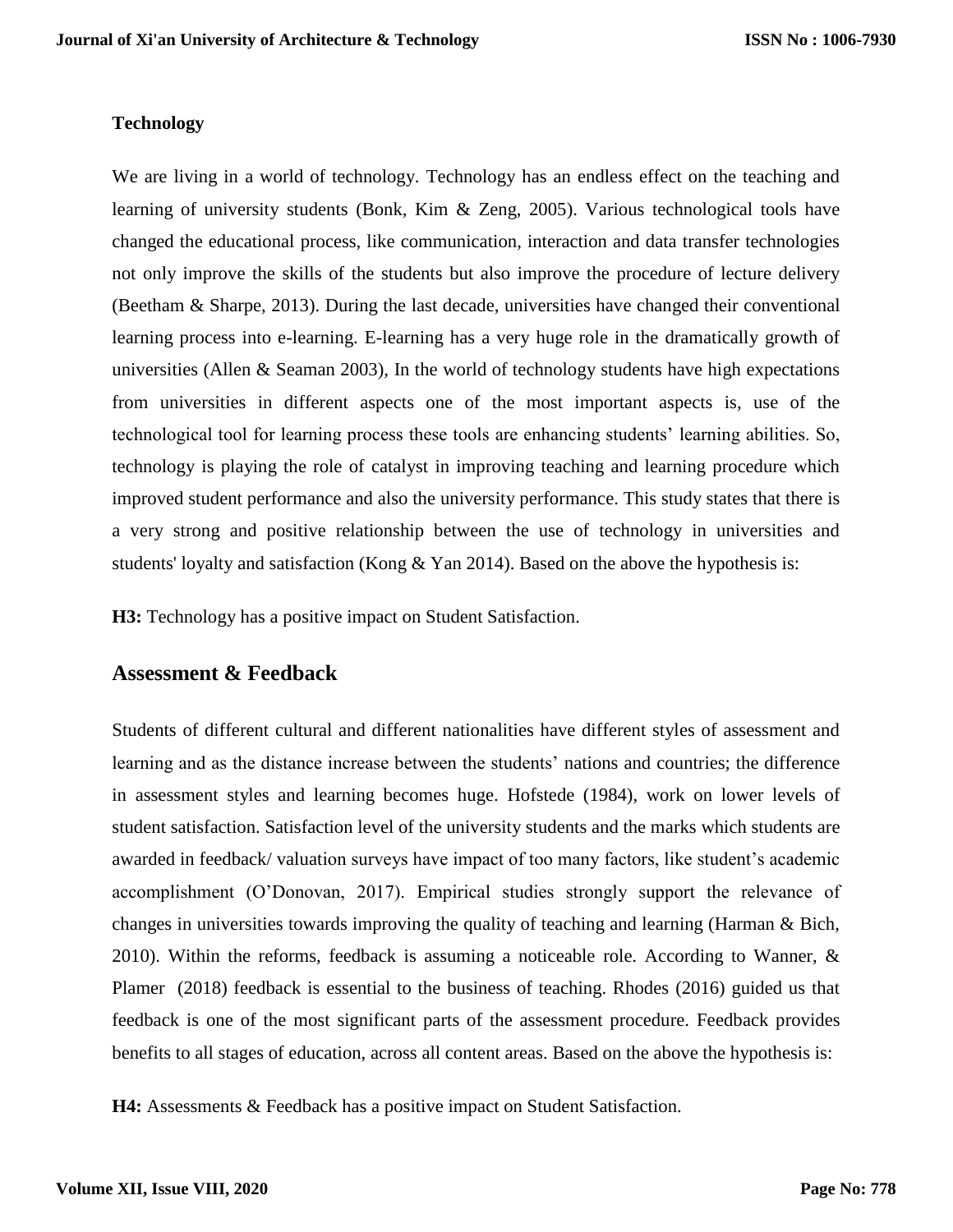#### **Technology**

We are living in a world of technology. Technology has an endless effect on the teaching and learning of university students (Bonk, Kim & Zeng, 2005). Various technological tools have changed the educational process, like communication, interaction and data transfer technologies not only improve the skills of the students but also improve the procedure of lecture delivery (Beetham & Sharpe, 2013). During the last decade, universities have changed their conventional learning process into e-learning. E-learning has a very huge role in the dramatically growth of universities (Allen & Seaman 2003), In the world of technology students have high expectations from universities in different aspects one of the most important aspects is, use of the technological tool for learning process these tools are enhancing students' learning abilities. So, technology is playing the role of catalyst in improving teaching and learning procedure which improved student performance and also the university performance. This study states that there is a very strong and positive relationship between the use of technology in universities and students' loyalty and satisfaction (Kong & Yan 2014). Based on the above the hypothesis is:

**H3:** Technology has a positive impact on Student Satisfaction.

### **Assessment & Feedback**

Students of different cultural and different nationalities have different styles of assessment and learning and as the distance increase between the students' nations and countries; the difference in assessment styles and learning becomes huge. Hofstede (1984), work on lower levels of student satisfaction. Satisfaction level of the university students and the marks which students are awarded in feedback/ valuation surveys have impact of too many factors, like student's academic accomplishment (O'Donovan, 2017). Empirical studies strongly support the relevance of changes in universities towards improving the quality of teaching and learning (Harman & Bich, 2010). Within the reforms, feedback is assuming a noticeable role. According to Wanner, & Plamer (2018) feedback is essential to the business of teaching. Rhodes (2016) guided us that feedback is one of the most significant parts of the assessment procedure. Feedback provides benefits to all stages of education, across all content areas. Based on the above the hypothesis is:

**H4:** Assessments & Feedback has a positive impact on Student Satisfaction.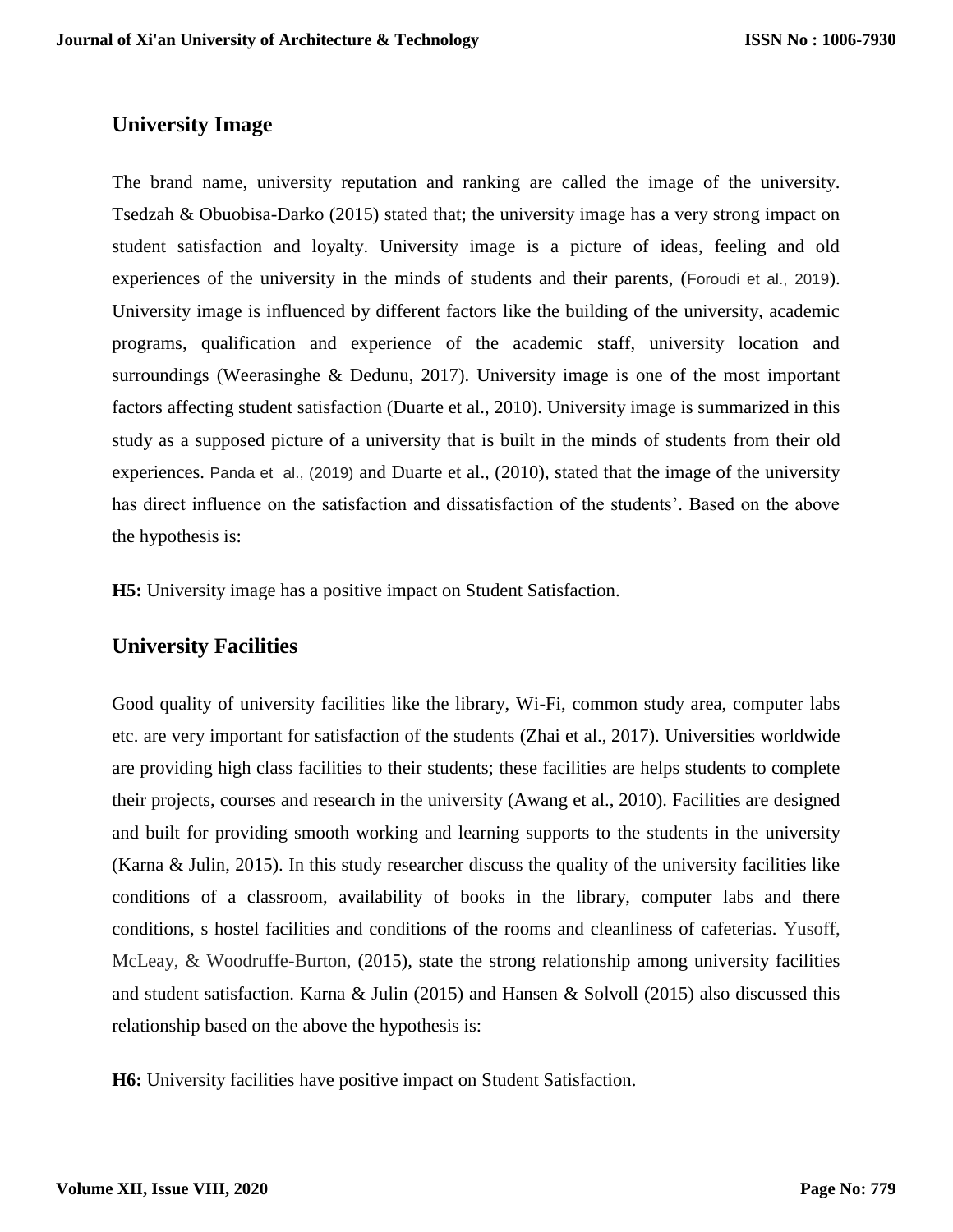### **University Image**

The brand name, university reputation and ranking are called the image of the university. Tsedzah & Obuobisa-Darko (2015) stated that; the university image has a very strong impact on student satisfaction and loyalty. University image is a picture of ideas, feeling and old experiences of the university in the minds of students and their parents, (Foroudi et al., 2019). University image is influenced by different factors like the building of the university, academic programs, qualification and experience of the academic staff, university location and surroundings (Weerasinghe & Dedunu, 2017). University image is one of the most important factors affecting student satisfaction (Duarte et al., 2010). University image is summarized in this study as a supposed picture of a university that is built in the minds of students from their old experiences. Panda et al., (2019) and Duarte et al., (2010), stated that the image of the university has direct influence on the satisfaction and dissatisfaction of the students'. Based on the above the hypothesis is:

**H5:** University image has a positive impact on Student Satisfaction.

### **University Facilities**

Good quality of university facilities like the library, Wi-Fi, common study area, computer labs etc. are very important for satisfaction of the students (Zhai et al., 2017). Universities worldwide are providing high class facilities to their students; these facilities are helps students to complete their projects, courses and research in the university (Awang et al., 2010). Facilities are designed and built for providing smooth working and learning supports to the students in the university (Karna & Julin, 2015). In this study researcher discuss the quality of the university facilities like conditions of a classroom, availability of books in the library, computer labs and there conditions, s hostel facilities and conditions of the rooms and cleanliness of cafeterias. Yusoff, McLeay, & Woodruffe-Burton, (2015), state the strong relationship among university facilities and student satisfaction. Karna & Julin (2015) and Hansen & Solvoll (2015) also discussed this relationship based on the above the hypothesis is:

**H6:** University facilities have positive impact on Student Satisfaction.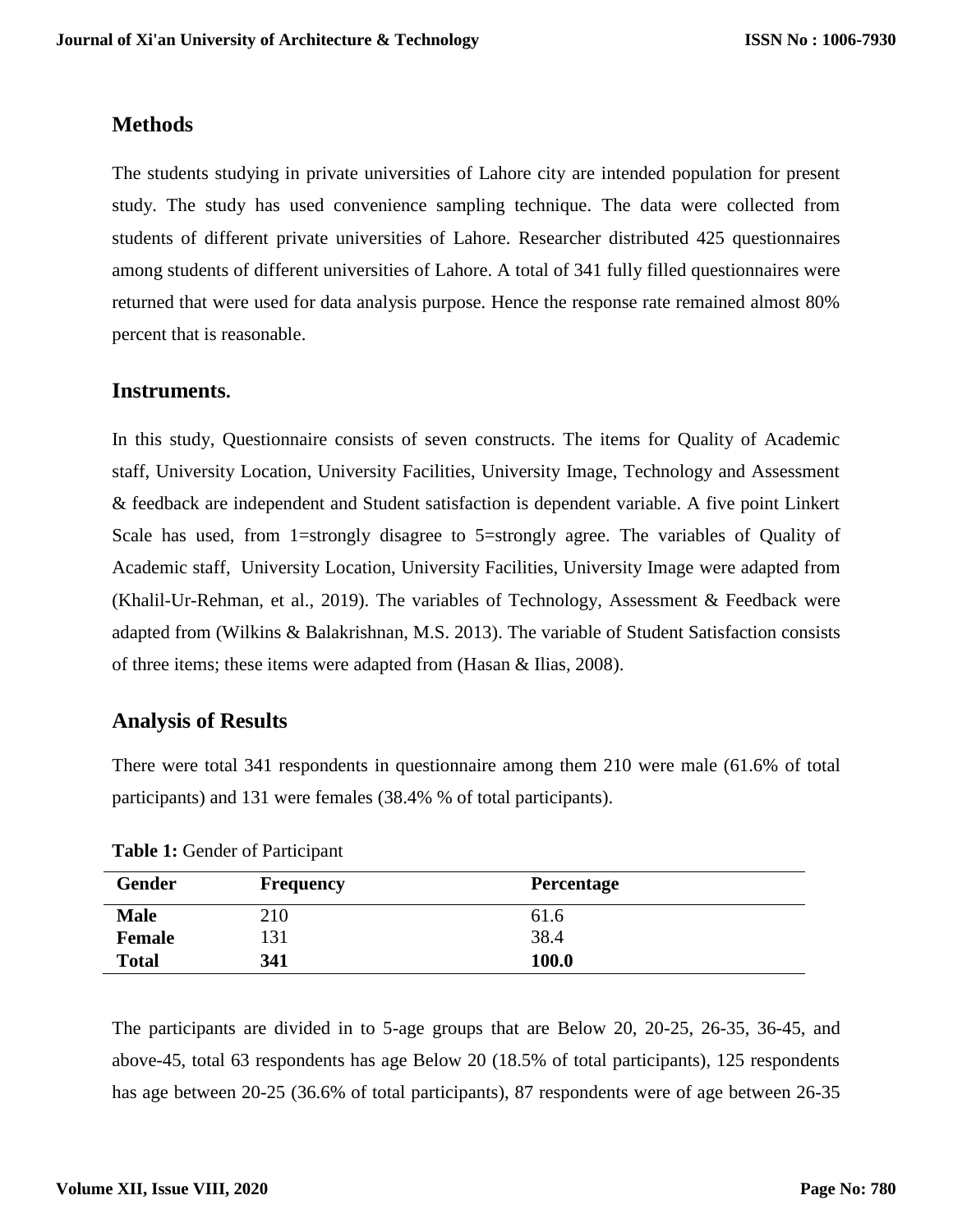### **Methods**

The students studying in private universities of Lahore city are intended population for present study. The study has used convenience sampling technique. The data were collected from students of different private universities of Lahore. Researcher distributed 425 questionnaires among students of different universities of Lahore. A total of 341 fully filled questionnaires were returned that were used for data analysis purpose. Hence the response rate remained almost 80% percent that is reasonable.

### **Instruments.**

In this study, Questionnaire consists of seven constructs. The items for Quality of Academic staff, University Location, University Facilities, University Image, Technology and Assessment & feedback are independent and Student satisfaction is dependent variable. A five point Linkert Scale has used, from 1=strongly disagree to 5=strongly agree. The variables of Quality of Academic staff, University Location, University Facilities, University Image were adapted from (Khalil-Ur-Rehman, et al., 2019). The variables of Technology, Assessment & Feedback were adapted from (Wilkins & Balakrishnan, M.S. 2013). The variable of Student Satisfaction consists of three items; these items were adapted from (Hasan & Ilias, 2008).

### **Analysis of Results**

There were total 341 respondents in questionnaire among them 210 were male (61.6% of total participants) and 131 were females (38.4% % of total participants).

| <b>Gender</b> | <b>Frequency</b> | <b>Percentage</b> |  |
|---------------|------------------|-------------------|--|
| <b>Male</b>   | 210              | 61.6              |  |
| <b>Female</b> | 131              | 38.4              |  |
| <b>Total</b>  | 341              | 100.0             |  |

**Table 1:** Gender of Participant

The participants are divided in to 5-age groups that are Below 20, 20-25, 26-35, 36-45, and above-45, total 63 respondents has age Below 20 (18.5% of total participants), 125 respondents has age between 20-25 (36.6% of total participants), 87 respondents were of age between 26-35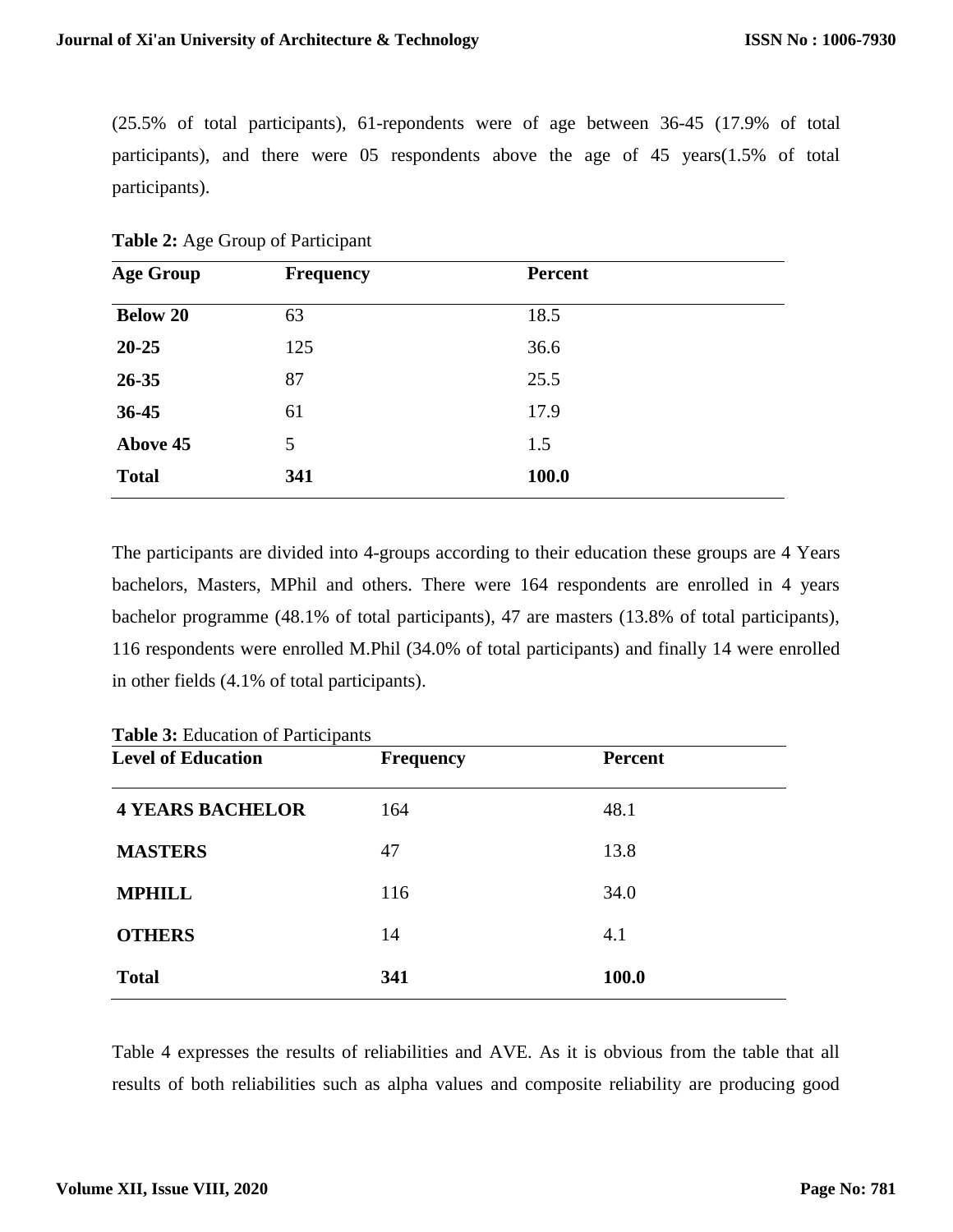(25.5% of total participants), 61-repondents were of age between 36-45 (17.9% of total participants), and there were 05 respondents above the age of 45 years(1.5% of total participants).

|  |  |  |  | Table 2: Age Group of Participant |
|--|--|--|--|-----------------------------------|
|--|--|--|--|-----------------------------------|

| <b>Age Group</b> | <b>Frequency</b> | <b>Percent</b> |  |
|------------------|------------------|----------------|--|
| <b>Below 20</b>  | 63               | 18.5           |  |
| $20 - 25$        | 125              | 36.6           |  |
| 26-35            | 87               | 25.5           |  |
| $36 - 45$        | 61               | 17.9           |  |
| Above 45         | 5                | 1.5            |  |
| <b>Total</b>     | 341              | 100.0          |  |

The participants are divided into 4-groups according to their education these groups are 4 Years bachelors, Masters, MPhil and others. There were 164 respondents are enrolled in 4 years bachelor programme (48.1% of total participants), 47 are masters (13.8% of total participants), 116 respondents were enrolled M.Phil (34.0% of total participants) and finally 14 were enrolled in other fields (4.1% of total participants).

**Table 3:** Education of Participants

| <b>Level of Education</b> | <b>Frequency</b> | <b>Percent</b> |  |
|---------------------------|------------------|----------------|--|
| <b>4 YEARS BACHELOR</b>   | 164              | 48.1           |  |
| <b>MASTERS</b>            | 47               | 13.8           |  |
| <b>MPHILL</b>             | 116              | 34.0           |  |
| <b>OTHERS</b>             | 14               | 4.1            |  |
| <b>Total</b>              | 341              | 100.0          |  |

Table 4 expresses the results of reliabilities and AVE. As it is obvious from the table that all results of both reliabilities such as alpha values and composite reliability are producing good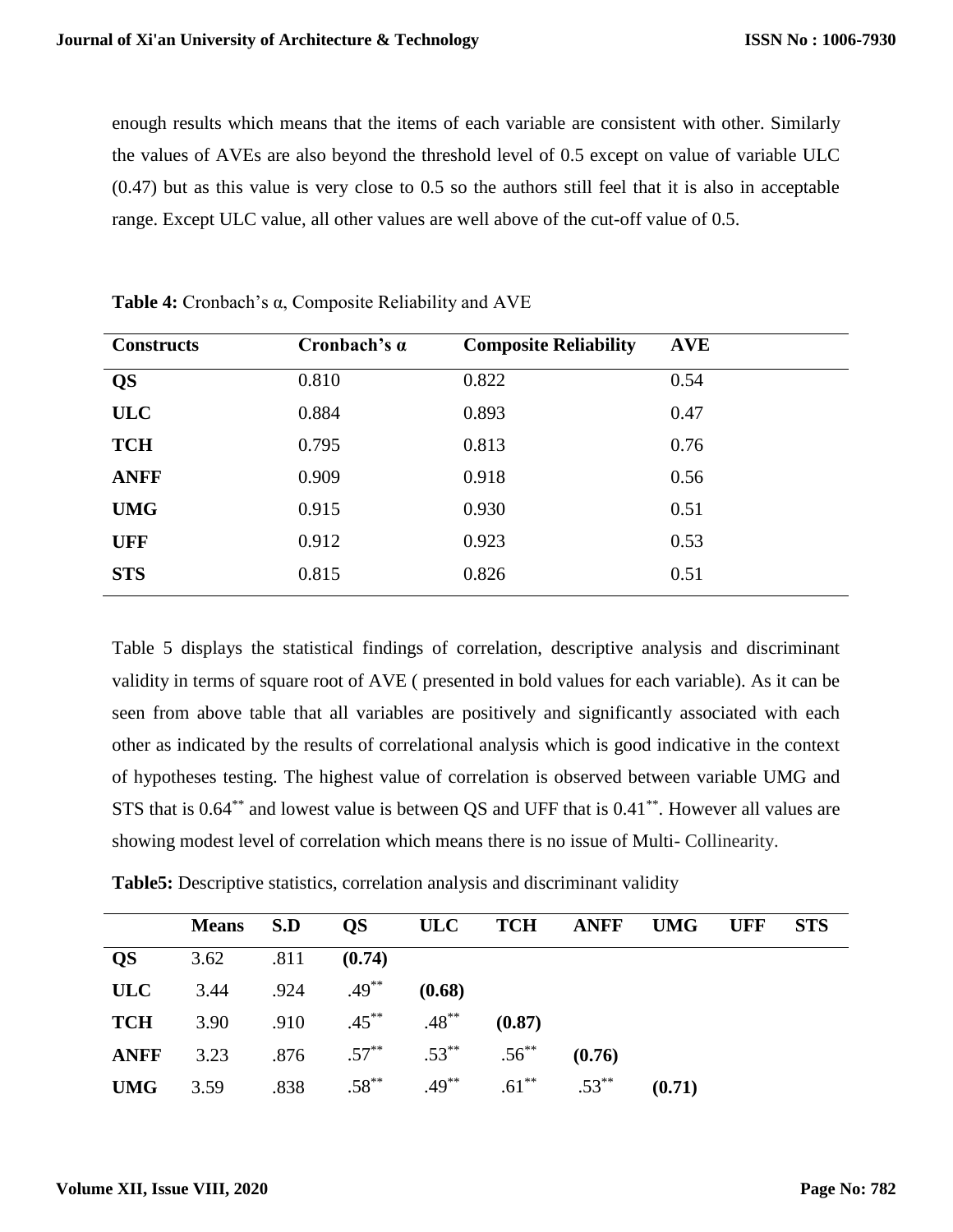enough results which means that the items of each variable are consistent with other. Similarly the values of AVEs are also beyond the threshold level of 0.5 except on value of variable ULC (0.47) but as this value is very close to 0.5 so the authors still feel that it is also in acceptable range. Except ULC value, all other values are well above of the cut-off value of 0.5.

| <b>Constructs</b> | Cronbach's $\alpha$ | <b>Composite Reliability</b> | <b>AVE</b> |
|-------------------|---------------------|------------------------------|------------|
| <b>QS</b>         | 0.810               | 0.822                        | 0.54       |
| <b>ULC</b>        | 0.884               | 0.893                        | 0.47       |
| <b>TCH</b>        | 0.795               | 0.813                        | 0.76       |
| <b>ANFF</b>       | 0.909               | 0.918                        | 0.56       |
| <b>UMG</b>        | 0.915               | 0.930                        | 0.51       |
| <b>UFF</b>        | 0.912               | 0.923                        | 0.53       |
| <b>STS</b>        | 0.815               | 0.826                        | 0.51       |
|                   |                     |                              |            |

**Table 4:** Cronbach's α, Composite Reliability and AVE

Table 5 displays the statistical findings of correlation, descriptive analysis and discriminant validity in terms of square root of AVE ( presented in bold values for each variable). As it can be seen from above table that all variables are positively and significantly associated with each other as indicated by the results of correlational analysis which is good indicative in the context of hypotheses testing. The highest value of correlation is observed between variable UMG and STS that is 0.64\*\* and lowest value is between QS and UFF that is 0.41\*\*. However all values are showing modest level of correlation which means there is no issue of Multi- Collinearity.

|  |  | Table5: Descriptive statistics, correlation analysis and discriminant validity |  |
|--|--|--------------------------------------------------------------------------------|--|
|  |  |                                                                                |  |

|             | Means S.D                   |      |                                              |          |          | QS ULC TCH ANFF UMG |        | <b>UFF</b> | <b>STS</b> |  |
|-------------|-----------------------------|------|----------------------------------------------|----------|----------|---------------------|--------|------------|------------|--|
| <b>QS</b>   | 3.62 .811                   |      | (0.74)                                       |          |          |                     |        |            |            |  |
| <b>ULC</b>  | 3.44 .924 .49 <sup>**</sup> |      |                                              | (0.68)   |          |                     |        |            |            |  |
| TCH         |                             |      | 3.90 .910 $.45^{**}$ .48 <sup>**</sup>       |          | (0.87)   |                     |        |            |            |  |
| <b>ANFF</b> |                             |      | 3.23 $.876$ $.57^{**}$ $.53^{**}$ $.56^{**}$ |          |          | (0.76)              |        |            |            |  |
| <b>UMG</b>  | 3.59                        | .838 | $.58***$                                     | $.49***$ | $.61***$ | $.53***$            | (0.71) |            |            |  |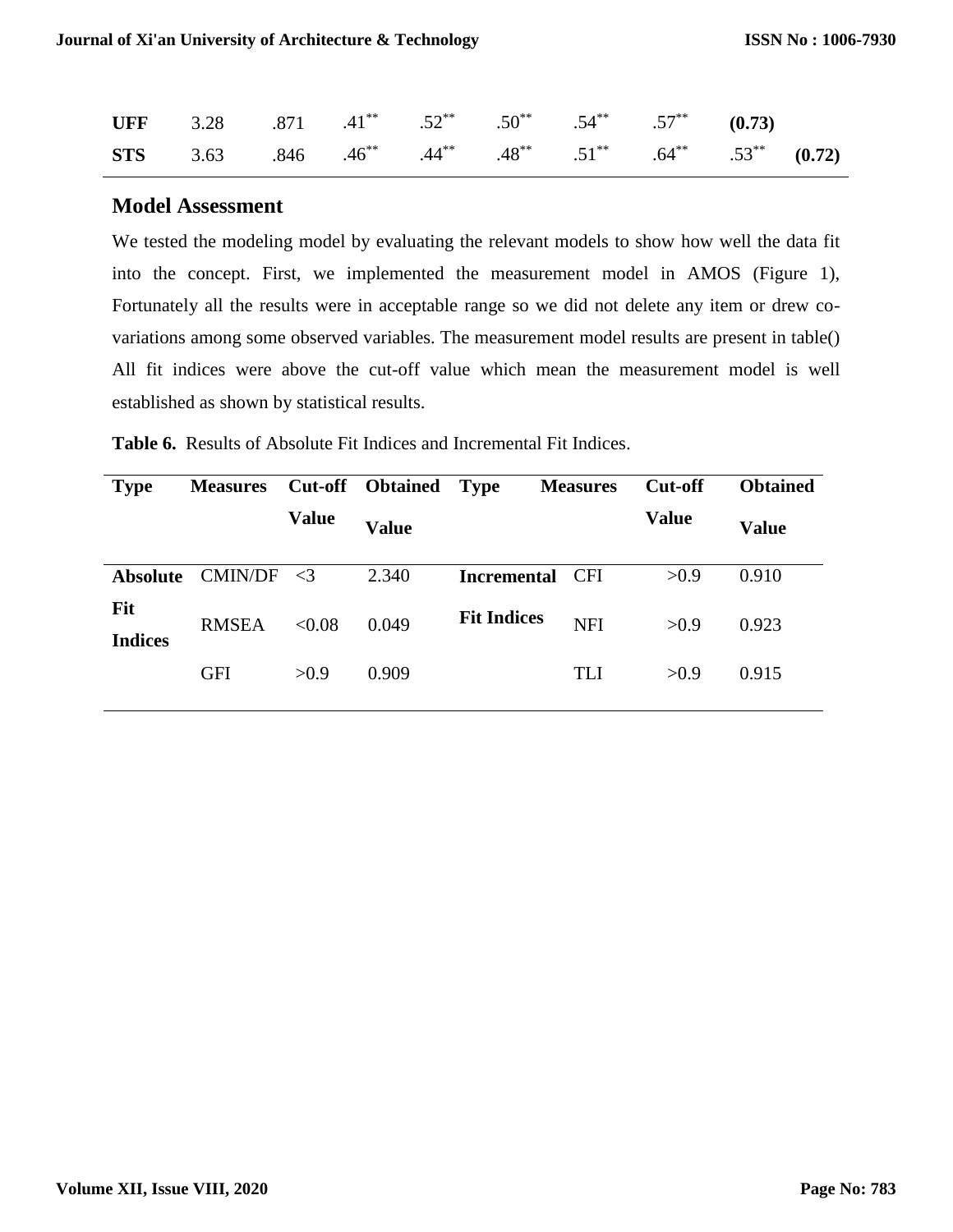| UFF 3.28 .871 .41 <sup>**</sup> .52 <sup>**</sup> .50 <sup>**</sup> .54 <sup>**</sup> .57 <sup>**</sup> (0.73)                          |  |  |  |  |
|-----------------------------------------------------------------------------------------------------------------------------------------|--|--|--|--|
| <b>STS</b> 3.63 .846 .46 <sup>**</sup> .44 <sup>**</sup> .48 <sup>**</sup> .51 <sup>**</sup> .64 <sup>**</sup> .53 <sup>**</sup> (0.72) |  |  |  |  |

#### **Model Assessment**

We tested the modeling model by evaluating the relevant models to show how well the data fit into the concept. First, we implemented the measurement model in AMOS (Figure 1), Fortunately all the results were in acceptable range so we did not delete any item or drew covariations among some observed variables. The measurement model results are present in table() All fit indices were above the cut-off value which mean the measurement model is well established as shown by statistical results.

| <b>Type</b>           | <b>Measures</b> |              | <b>Cut-off</b> Obtained | <b>Type</b>        | <b>Measures</b> | <b>Cut-off</b> | <b>Obtained</b> |
|-----------------------|-----------------|--------------|-------------------------|--------------------|-----------------|----------------|-----------------|
|                       |                 | <b>Value</b> | <b>Value</b>            |                    |                 | <b>Value</b>   | <b>Value</b>    |
| <b>Absolute</b>       | <b>CMIN/DF</b>  | $\leq$ 3     | 2.340                   | <b>Incremental</b> | <b>CFI</b>      | >0.9           | 0.910           |
| Fit<br><b>Indices</b> | <b>RMSEA</b>    | < 0.08       | 0.049                   | <b>Fit Indices</b> | <b>NFI</b>      | >0.9           | 0.923           |
|                       | <b>GFI</b>      | >0.9         | 0.909                   |                    | TLI             | >0.9           | 0.915           |
|                       |                 |              |                         |                    |                 |                |                 |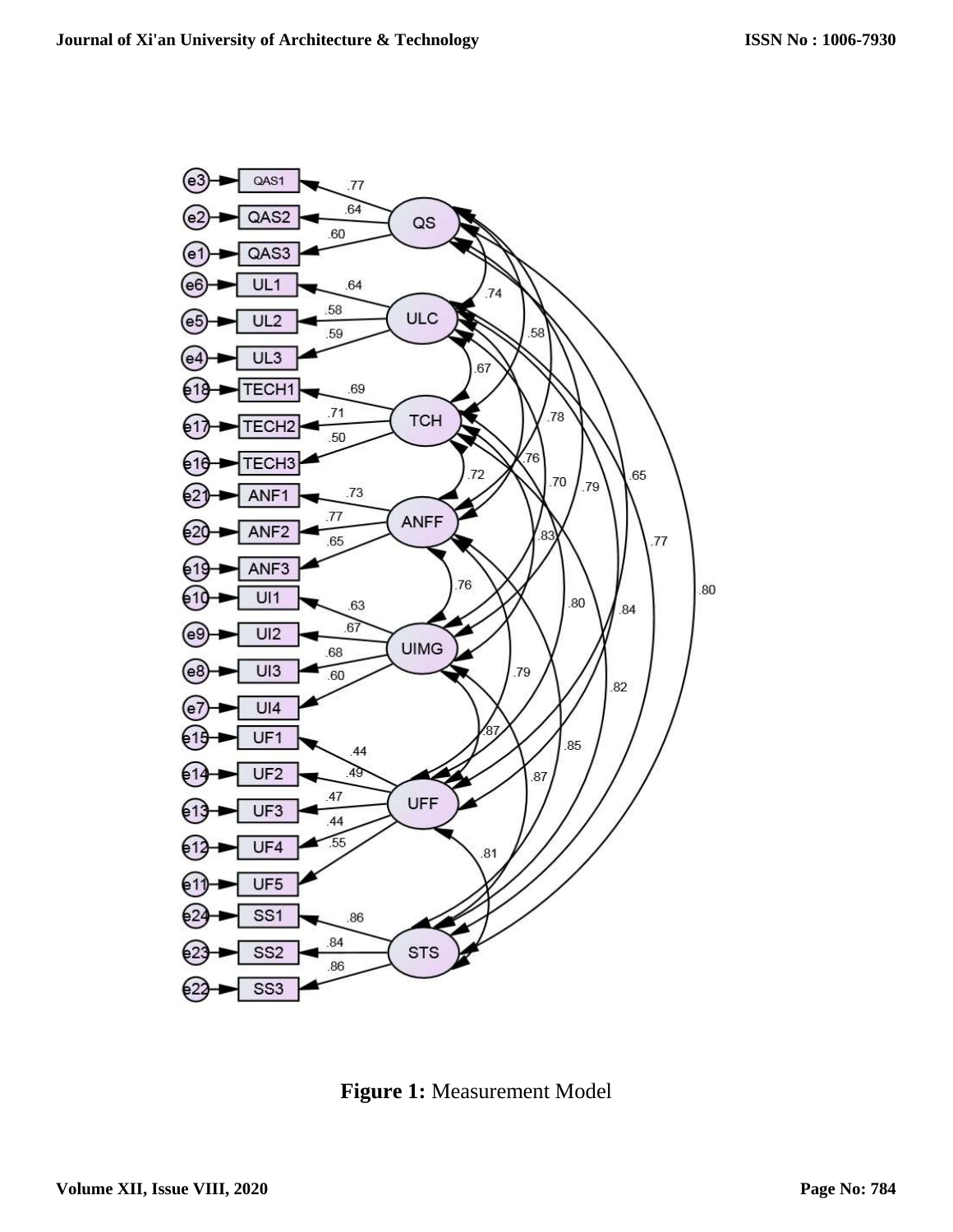

**Figure 1:** Measurement Model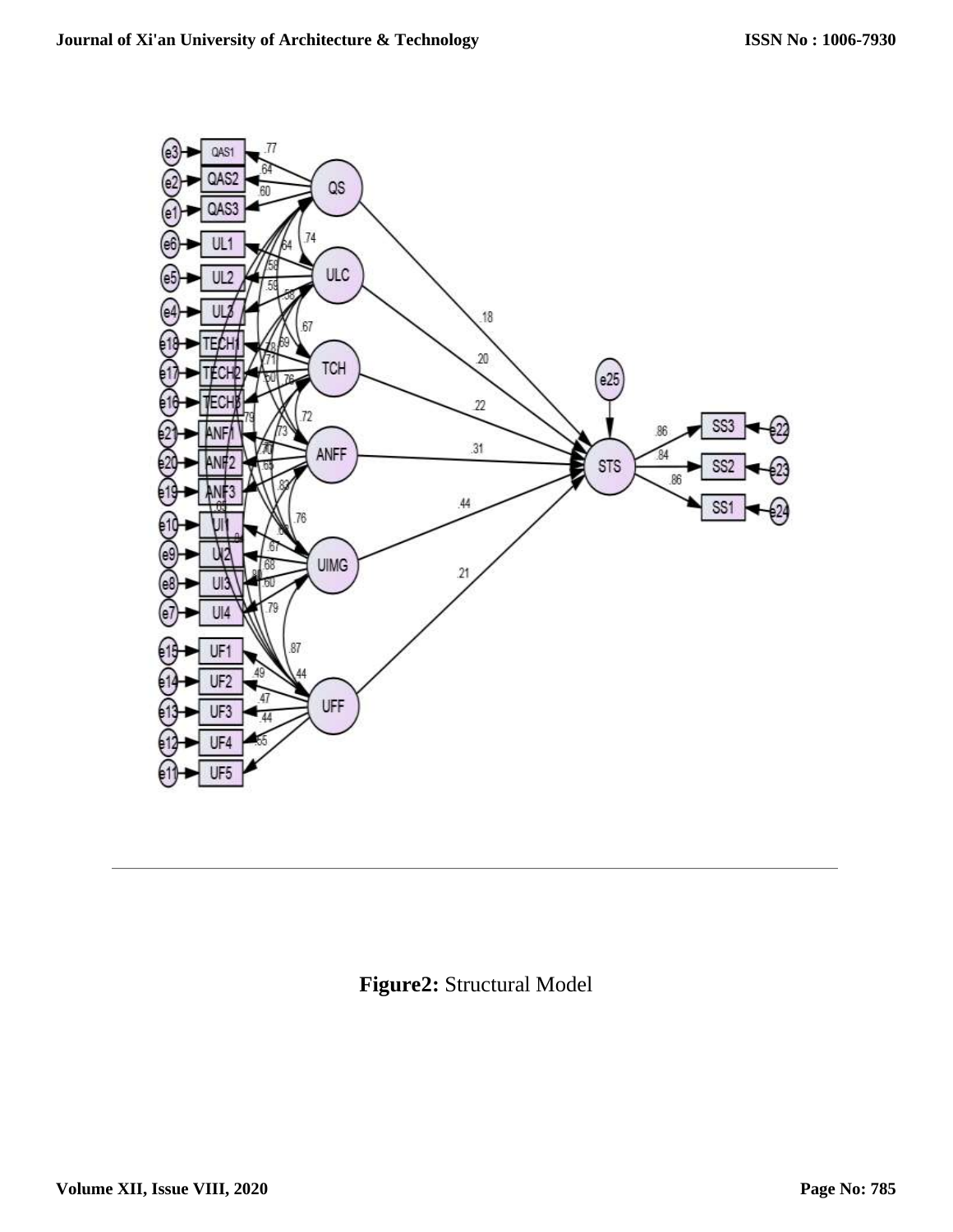

**Figure2:** Structural Model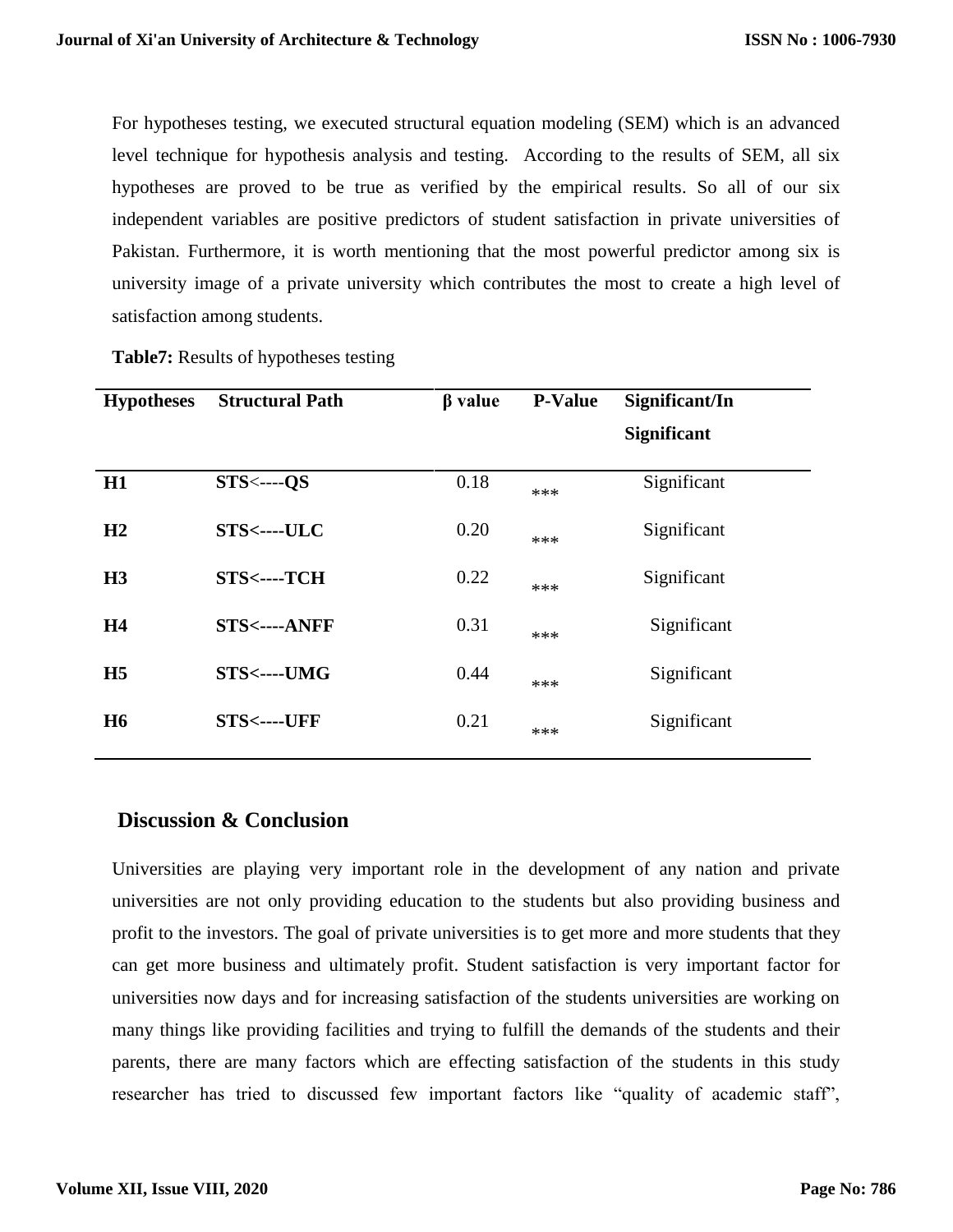For hypotheses testing, we executed structural equation modeling (SEM) which is an advanced level technique for hypothesis analysis and testing. According to the results of SEM, all six hypotheses are proved to be true as verified by the empirical results. So all of our six independent variables are positive predictors of student satisfaction in private universities of Pakistan. Furthermore, it is worth mentioning that the most powerful predictor among six is university image of a private university which contributes the most to create a high level of satisfaction among students.

| <b>Hypotheses</b> | <b>Structural Path</b> | $\beta$ value | <b>P-Value</b> | Significant/In     |  |
|-------------------|------------------------|---------------|----------------|--------------------|--|
|                   |                        |               |                | <b>Significant</b> |  |
| H1                | $STS \leftarrow -OS$   | 0.18          | ***            | Significant        |  |
| H2                | STS<----ULC            | 0.20          | ***            | Significant        |  |
| H <sub>3</sub>    | STS<----TCH            | 0.22          | ***            | Significant        |  |
| H <sub>4</sub>    | <b>STS&lt;----ANFF</b> | 0.31          | ***            | Significant        |  |
| H <sub>5</sub>    | STS<----UMG            | 0.44          | ***            | Significant        |  |
| <b>H6</b>         | <b>STS&lt;----UFF</b>  | 0.21          | ***            | Significant        |  |
|                   |                        |               |                |                    |  |

**Table7:** Results of hypotheses testing

### **Discussion & Conclusion**

Universities are playing very important role in the development of any nation and private universities are not only providing education to the students but also providing business and profit to the investors. The goal of private universities is to get more and more students that they can get more business and ultimately profit. Student satisfaction is very important factor for universities now days and for increasing satisfaction of the students universities are working on many things like providing facilities and trying to fulfill the demands of the students and their parents, there are many factors which are effecting satisfaction of the students in this study researcher has tried to discussed few important factors like "quality of academic staff",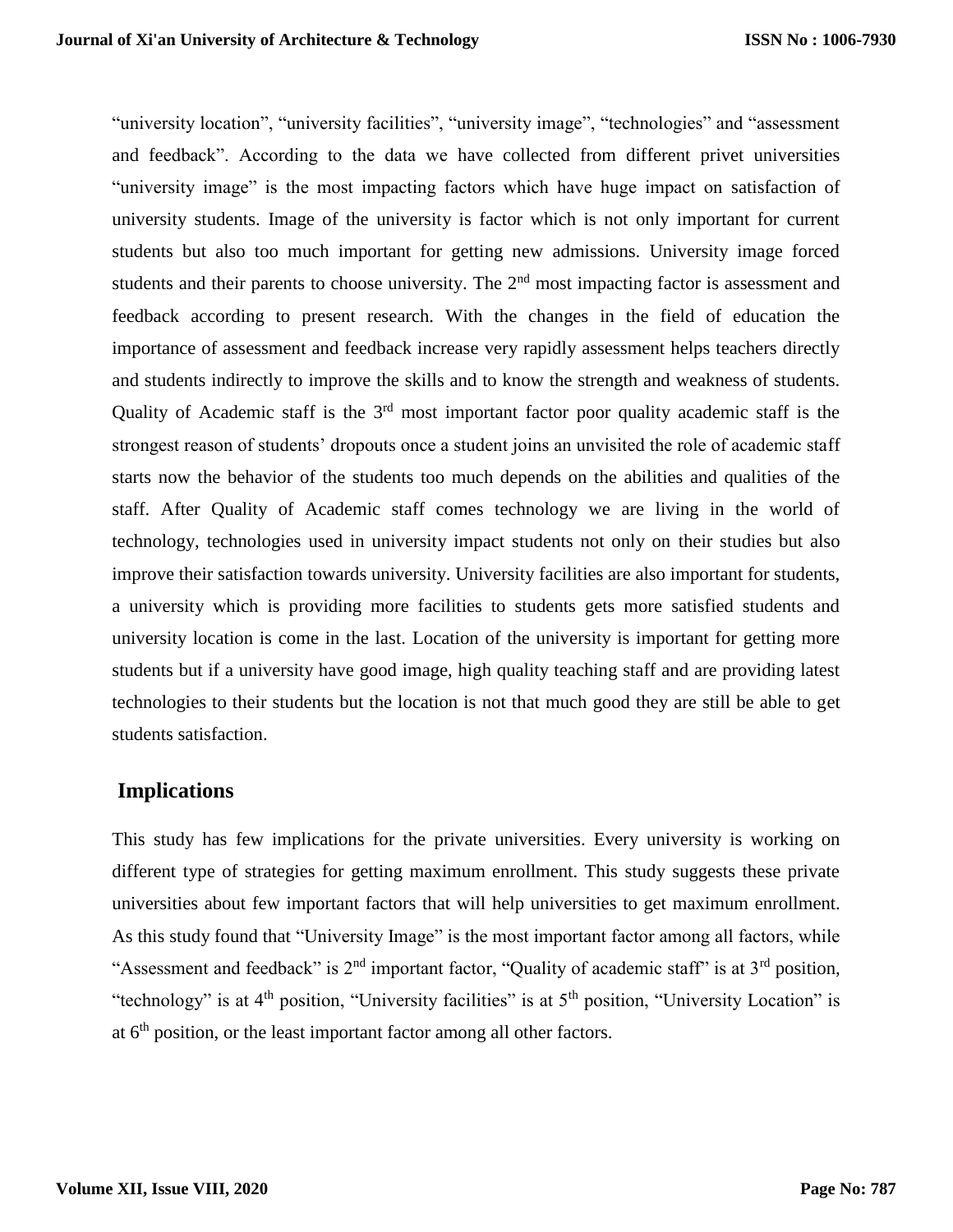"university location", "university facilities", "university image", "technologies" and "assessment and feedback". According to the data we have collected from different privet universities "university image" is the most impacting factors which have huge impact on satisfaction of university students. Image of the university is factor which is not only important for current students but also too much important for getting new admissions. University image forced students and their parents to choose university. The 2<sup>nd</sup> most impacting factor is assessment and feedback according to present research. With the changes in the field of education the importance of assessment and feedback increase very rapidly assessment helps teachers directly and students indirectly to improve the skills and to know the strength and weakness of students. Quality of Academic staff is the  $3<sup>rd</sup>$  most important factor poor quality academic staff is the strongest reason of students' dropouts once a student joins an unvisited the role of academic staff starts now the behavior of the students too much depends on the abilities and qualities of the staff. After Quality of Academic staff comes technology we are living in the world of technology, technologies used in university impact students not only on their studies but also improve their satisfaction towards university. University facilities are also important for students, a university which is providing more facilities to students gets more satisfied students and university location is come in the last. Location of the university is important for getting more students but if a university have good image, high quality teaching staff and are providing latest technologies to their students but the location is not that much good they are still be able to get students satisfaction.

### **Implications**

This study has few implications for the private universities. Every university is working on different type of strategies for getting maximum enrollment. This study suggests these private universities about few important factors that will help universities to get maximum enrollment. As this study found that "University Image" is the most important factor among all factors, while "Assessment and feedback" is  $2<sup>nd</sup>$  important factor, "Quality of academic staff" is at  $3<sup>rd</sup>$  position, "technology" is at 4<sup>th</sup> position, "University facilities" is at 5<sup>th</sup> position, "University Location" is at  $6<sup>th</sup>$  position, or the least important factor among all other factors.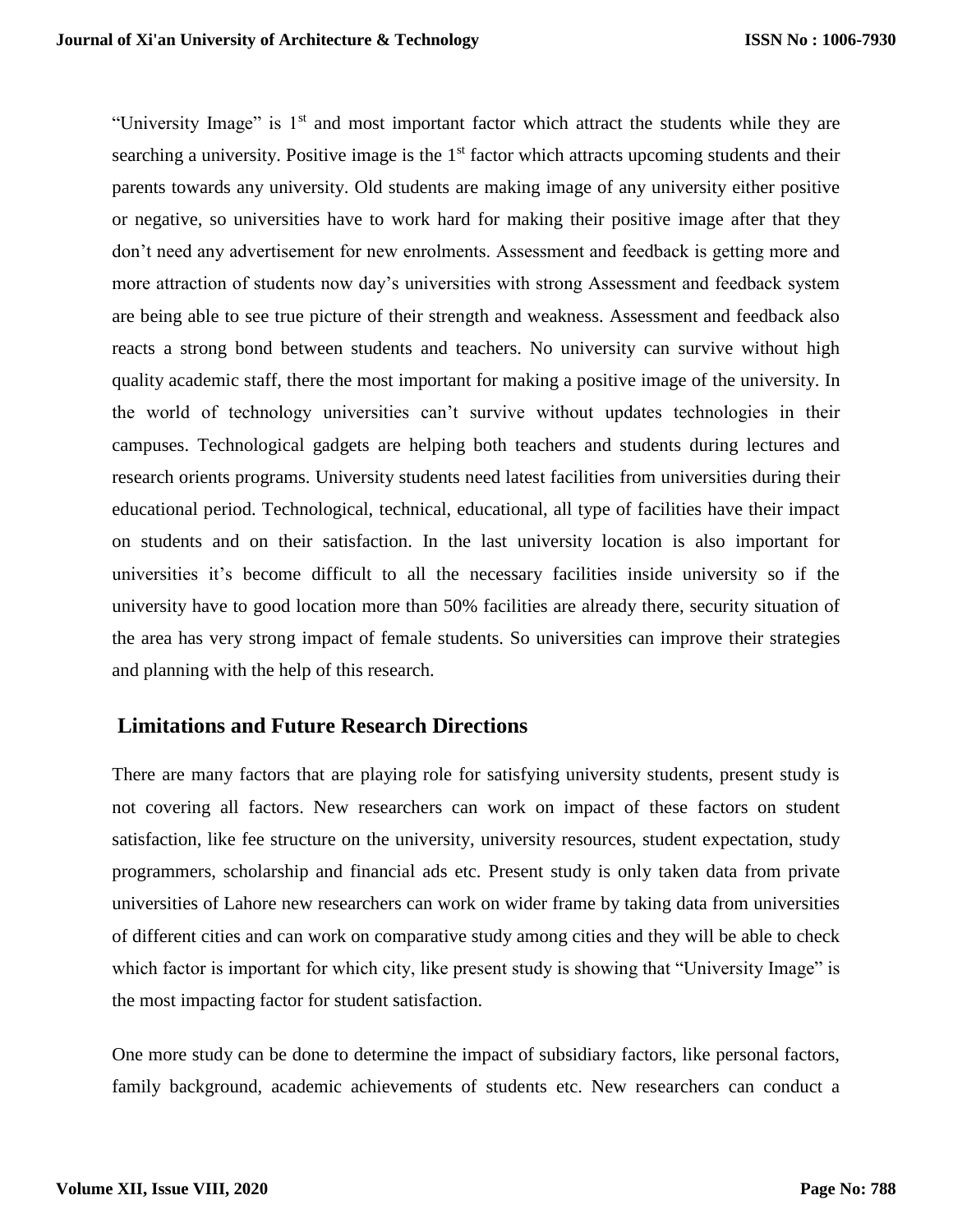"University Image" is  $1<sup>st</sup>$  and most important factor which attract the students while they are searching a university. Positive image is the  $1<sup>st</sup>$  factor which attracts upcoming students and their parents towards any university. Old students are making image of any university either positive or negative, so universities have to work hard for making their positive image after that they don't need any advertisement for new enrolments. Assessment and feedback is getting more and more attraction of students now day's universities with strong Assessment and feedback system are being able to see true picture of their strength and weakness. Assessment and feedback also reacts a strong bond between students and teachers. No university can survive without high quality academic staff, there the most important for making a positive image of the university. In the world of technology universities can't survive without updates technologies in their campuses. Technological gadgets are helping both teachers and students during lectures and research orients programs. University students need latest facilities from universities during their educational period. Technological, technical, educational, all type of facilities have their impact on students and on their satisfaction. In the last university location is also important for universities it's become difficult to all the necessary facilities inside university so if the university have to good location more than 50% facilities are already there, security situation of the area has very strong impact of female students. So universities can improve their strategies and planning with the help of this research.

### **Limitations and Future Research Directions**

There are many factors that are playing role for satisfying university students, present study is not covering all factors. New researchers can work on impact of these factors on student satisfaction, like fee structure on the university, university resources, student expectation, study programmers, scholarship and financial ads etc. Present study is only taken data from private universities of Lahore new researchers can work on wider frame by taking data from universities of different cities and can work on comparative study among cities and they will be able to check which factor is important for which city, like present study is showing that "University Image" is the most impacting factor for student satisfaction.

One more study can be done to determine the impact of subsidiary factors, like personal factors, family background, academic achievements of students etc. New researchers can conduct a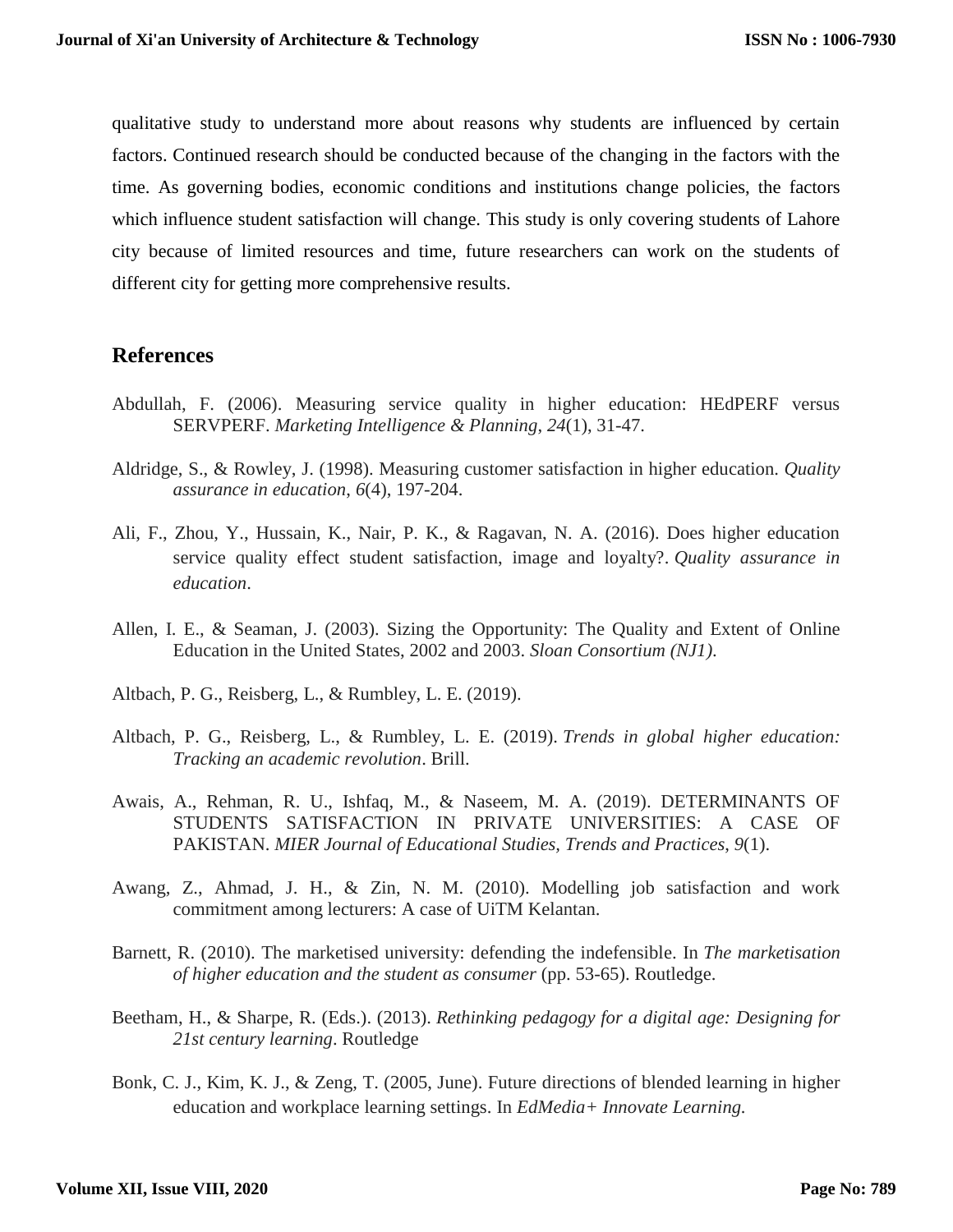qualitative study to understand more about reasons why students are influenced by certain factors. Continued research should be conducted because of the changing in the factors with the time. As governing bodies, economic conditions and institutions change policies, the factors which influence student satisfaction will change. This study is only covering students of Lahore city because of limited resources and time, future researchers can work on the students of different city for getting more comprehensive results.

### **References**

- Abdullah, F. (2006). Measuring service quality in higher education: HEdPERF versus SERVPERF. *Marketing Intelligence & Planning*, *24*(1), 31-47.
- Aldridge, S., & Rowley, J. (1998). Measuring customer satisfaction in higher education. *Quality assurance in education*, *6*(4), 197-204.
- Ali, F., Zhou, Y., Hussain, K., Nair, P. K., & Ragavan, N. A. (2016). Does higher education service quality effect student satisfaction, image and loyalty?. *Quality assurance in education*.
- Allen, I. E., & Seaman, J. (2003). Sizing the Opportunity: The Quality and Extent of Online Education in the United States, 2002 and 2003. *Sloan Consortium (NJ1)*.
- Altbach, P. G., Reisberg, L., & Rumbley, L. E. (2019).
- Altbach, P. G., Reisberg, L., & Rumbley, L. E. (2019). *Trends in global higher education: Tracking an academic revolution*. Brill.
- Awais, A., Rehman, R. U., Ishfaq, M., & Naseem, M. A. (2019). DETERMINANTS OF STUDENTS SATISFACTION IN PRIVATE UNIVERSITIES: A CASE OF PAKISTAN. *MIER Journal of Educational Studies, Trends and Practices*, *9*(1).
- Awang, Z., Ahmad, J. H., & Zin, N. M. (2010). Modelling job satisfaction and work commitment among lecturers: A case of UiTM Kelantan.
- Barnett, R. (2010). The marketised university: defending the indefensible. In *The marketisation of higher education and the student as consumer* (pp. 53-65). Routledge.
- Beetham, H., & Sharpe, R. (Eds.). (2013). *Rethinking pedagogy for a digital age: Designing for 21st century learning*. Routledge
- Bonk, C. J., Kim, K. J., & Zeng, T. (2005, June). Future directions of blended learning in higher education and workplace learning settings. In *EdMedia+ Innovate Learning.*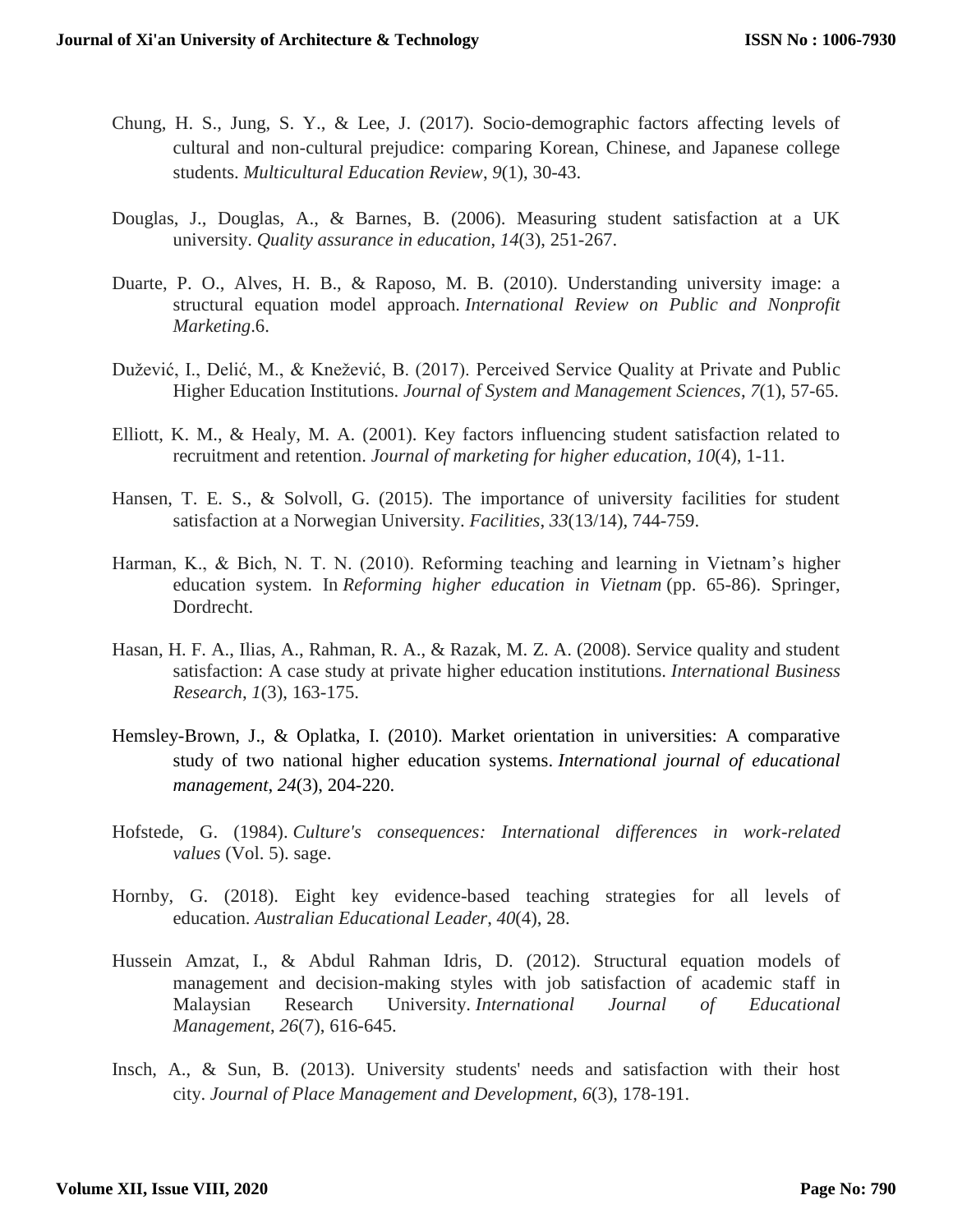- Chung, H. S., Jung, S. Y., & Lee, J. (2017). Socio-demographic factors affecting levels of cultural and non-cultural prejudice: comparing Korean, Chinese, and Japanese college students. *Multicultural Education Review*, *9*(1), 30-43.
- Douglas, J., Douglas, A., & Barnes, B. (2006). Measuring student satisfaction at a UK university. *Quality assurance in education*, *14*(3), 251-267.
- Duarte, P. O., Alves, H. B., & Raposo, M. B. (2010). Understanding university image: a structural equation model approach. *International Review on Public and Nonprofit Marketing*.6.
- Dužević, I., Delić, M., & Knežević, B. (2017). Perceived Service Quality at Private and Public Higher Education Institutions. *Journal of System and Management Sciences*, *7*(1), 57-65.
- Elliott, K. M., & Healy, M. A. (2001). Key factors influencing student satisfaction related to recruitment and retention. *Journal of marketing for higher education*, *10*(4), 1-11.
- Hansen, T. E. S., & Solvoll, G. (2015). The importance of university facilities for student satisfaction at a Norwegian University. *Facilities*, *33*(13/14), 744-759.
- Harman, K., & Bich, N. T. N. (2010). Reforming teaching and learning in Vietnam's higher education system. In *Reforming higher education in Vietnam* (pp. 65-86). Springer, Dordrecht.
- Hasan, H. F. A., Ilias, A., Rahman, R. A., & Razak, M. Z. A. (2008). Service quality and student satisfaction: A case study at private higher education institutions. *International Business Research*, *1*(3), 163-175.
- Hemsley-Brown, J., & Oplatka, I. (2010). Market orientation in universities: A comparative study of two national higher education systems. *International journal of educational management*, *24*(3), 204-220.
- Hofstede, G. (1984). *Culture's consequences: International differences in work-related values* (Vol. 5). sage.
- Hornby, G. (2018). Eight key evidence-based teaching strategies for all levels of education. *Australian Educational Leader*, *40*(4), 28.
- Hussein Amzat, I., & Abdul Rahman Idris, D. (2012). Structural equation models of management and decision-making styles with job satisfaction of academic staff in Malaysian Research University. *International Journal of Educational Management*, *26*(7), 616-645.
- Insch, A., & Sun, B. (2013). University students' needs and satisfaction with their host city. *Journal of Place Management and Development*, *6*(3), 178-191.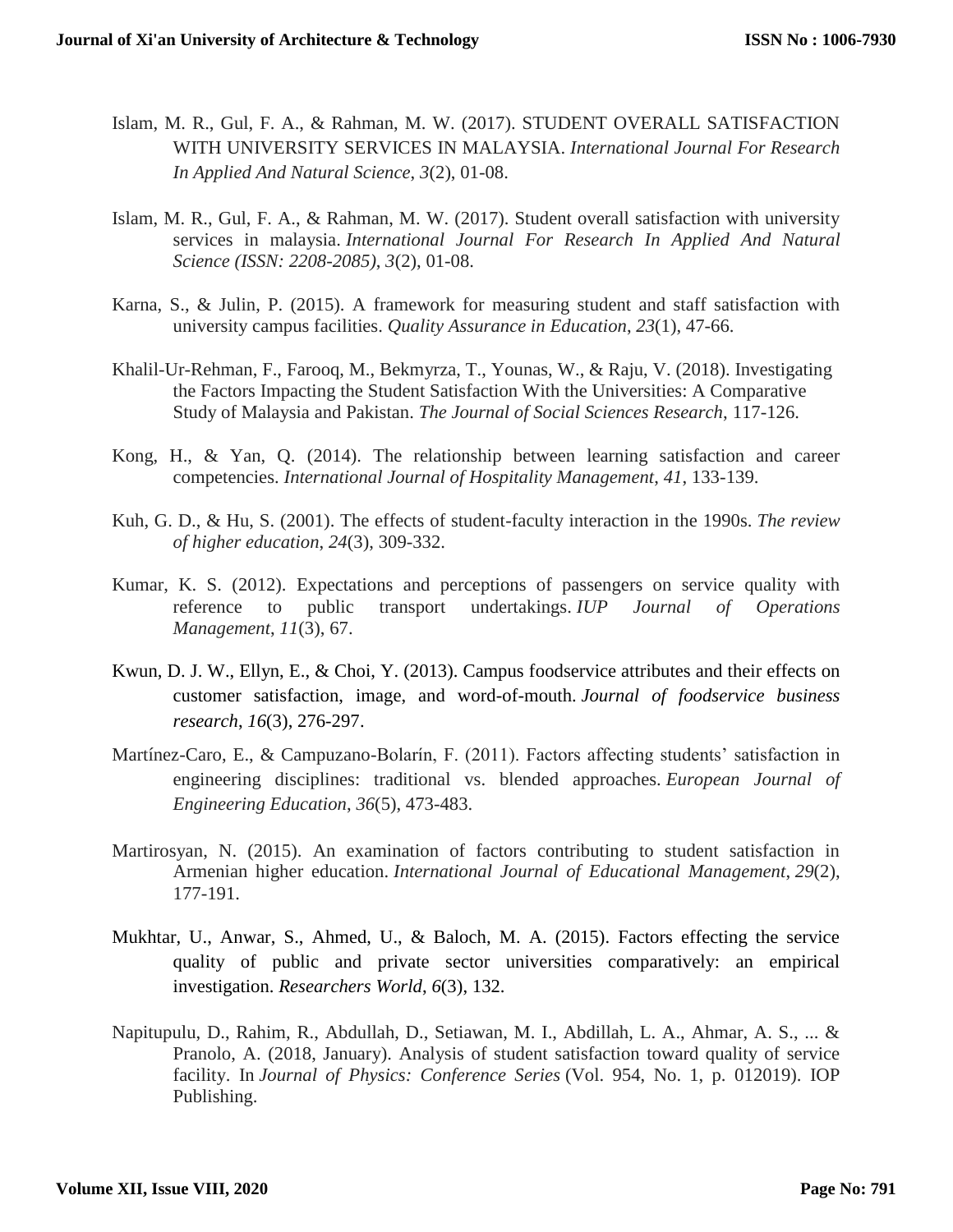- Islam, M. R., Gul, F. A., & Rahman, M. W. (2017). STUDENT OVERALL SATISFACTION WITH UNIVERSITY SERVICES IN MALAYSIA. *International Journal For Research In Applied And Natural Science*, *3*(2), 01-08.
- Islam, M. R., Gul, F. A., & Rahman, M. W. (2017). Student overall satisfaction with university services in malaysia. *International Journal For Research In Applied And Natural Science (ISSN: 2208-2085)*, *3*(2), 01-08.
- Karna, S., & Julin, P. (2015). A framework for measuring student and staff satisfaction with university campus facilities. *Quality Assurance in Education*, *23*(1), 47-66.
- Khalil-Ur-Rehman, F., Farooq, M., Bekmyrza, T., Younas, W., & Raju, V. (2018). Investigating the Factors Impacting the Student Satisfaction With the Universities: A Comparative Study of Malaysia and Pakistan. *The Journal of Social Sciences Research*, 117-126.
- Kong, H., & Yan, Q. (2014). The relationship between learning satisfaction and career competencies. *International Journal of Hospitality Management*, *41*, 133-139.
- Kuh, G. D., & Hu, S. (2001). The effects of student-faculty interaction in the 1990s. *The review of higher education*, *24*(3), 309-332.
- Kumar, K. S. (2012). Expectations and perceptions of passengers on service quality with reference to public transport undertakings. *IUP Journal of Operations Management*, *11*(3), 67.
- Kwun, D. J. W., Ellyn, E., & Choi, Y. (2013). Campus foodservice attributes and their effects on customer satisfaction, image, and word-of-mouth. *Journal of foodservice business research*, *16*(3), 276-297.
- Martínez-Caro, E., & Campuzano-Bolarín, F. (2011). Factors affecting students' satisfaction in engineering disciplines: traditional vs. blended approaches. *European Journal of Engineering Education*, *36*(5), 473-483.
- Martirosyan, N. (2015). An examination of factors contributing to student satisfaction in Armenian higher education. *International Journal of Educational Management*, *29*(2), 177-191.
- Mukhtar, U., Anwar, S., Ahmed, U., & Baloch, M. A. (2015). Factors effecting the service quality of public and private sector universities comparatively: an empirical investigation. *Researchers World*, *6*(3), 132.
- Napitupulu, D., Rahim, R., Abdullah, D., Setiawan, M. I., Abdillah, L. A., Ahmar, A. S., ... & Pranolo, A. (2018, January). Analysis of student satisfaction toward quality of service facility. In *Journal of Physics: Conference Series* (Vol. 954, No. 1, p. 012019). IOP Publishing.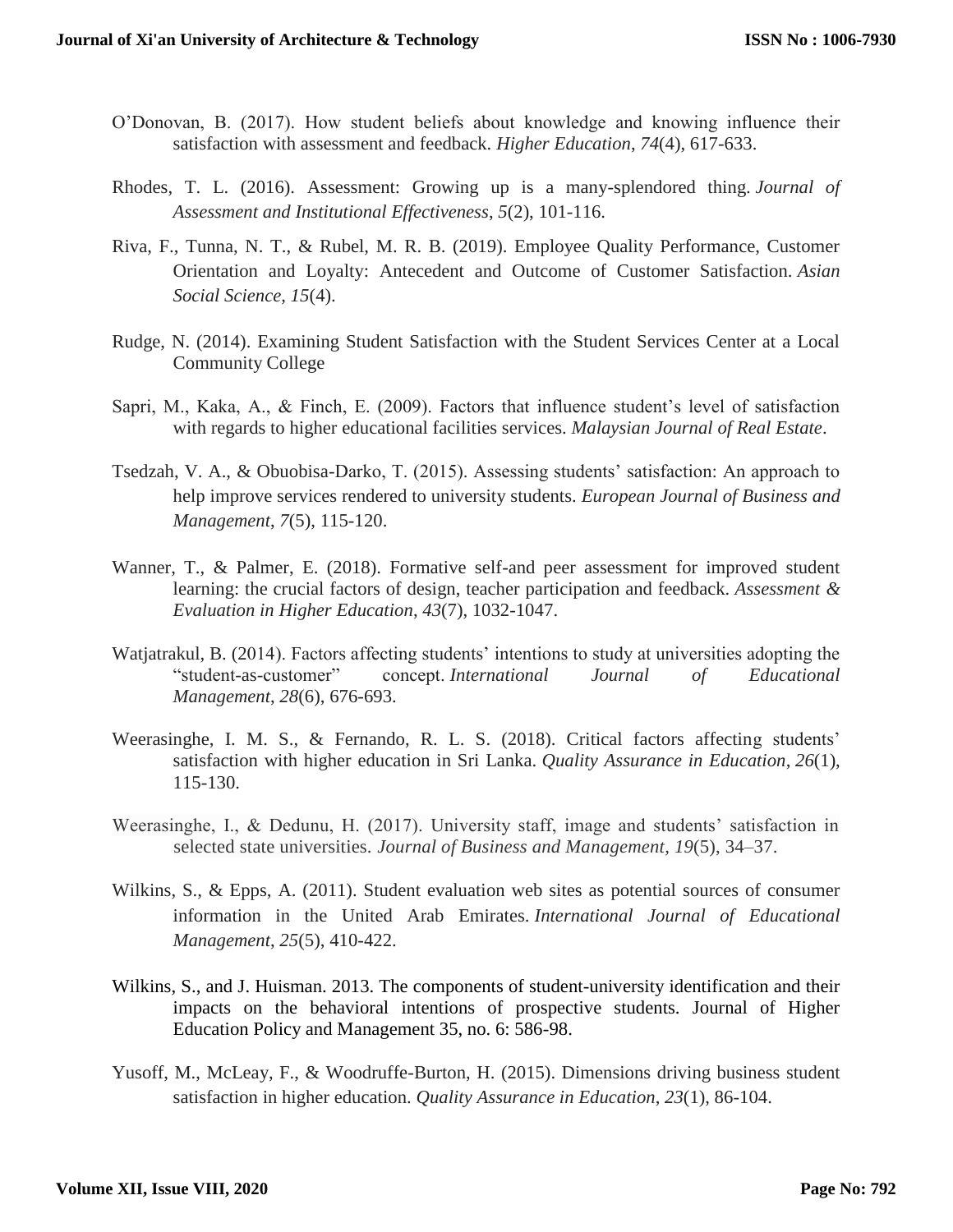- O'Donovan, B. (2017). How student beliefs about knowledge and knowing influence their satisfaction with assessment and feedback. *Higher Education*, *74*(4), 617-633.
- Rhodes, T. L. (2016). Assessment: Growing up is a many-splendored thing. *Journal of Assessment and Institutional Effectiveness*, *5*(2), 101-116.
- Riva, F., Tunna, N. T., & Rubel, M. R. B. (2019). Employee Quality Performance, Customer Orientation and Loyalty: Antecedent and Outcome of Customer Satisfaction. *Asian Social Science*, *15*(4).
- Rudge, N. (2014). Examining Student Satisfaction with the Student Services Center at a Local Community College
- Sapri, M., Kaka, A., & Finch, E. (2009). Factors that influence student's level of satisfaction with regards to higher educational facilities services. *Malaysian Journal of Real Estate*.
- Tsedzah, V. A., & Obuobisa-Darko, T. (2015). Assessing students' satisfaction: An approach to help improve services rendered to university students. *European Journal of Business and Management*, *7*(5), 115-120.
- Wanner, T., & Palmer, E. (2018). Formative self-and peer assessment for improved student learning: the crucial factors of design, teacher participation and feedback. *Assessment & Evaluation in Higher Education*, *43*(7), 1032-1047.
- Watjatrakul, B. (2014). Factors affecting students' intentions to study at universities adopting the "student-as-customer" concept. *International Journal of Educational Management*, *28*(6), 676-693.
- Weerasinghe, I. M. S., & Fernando, R. L. S. (2018). Critical factors affecting students' satisfaction with higher education in Sri Lanka. *Quality Assurance in Education*, *26*(1), 115-130.
- Weerasinghe, I., & Dedunu, H. (2017). University staff, image and students' satisfaction in selected state universities. *Journal of Business and Management, 19*(5), 34–37.
- Wilkins, S., & Epps, A. (2011). Student evaluation web sites as potential sources of consumer information in the United Arab Emirates. *International Journal of Educational Management*, *25*(5), 410-422.
- Wilkins, S., and J. Huisman. 2013. The components of student-university identification and their impacts on the behavioral intentions of prospective students. Journal of Higher Education Policy and Management 35, no. 6: 586-98.
- Yusoff, M., McLeay, F., & Woodruffe-Burton, H. (2015). Dimensions driving business student satisfaction in higher education. *Quality Assurance in Education*, *23*(1), 86-104.